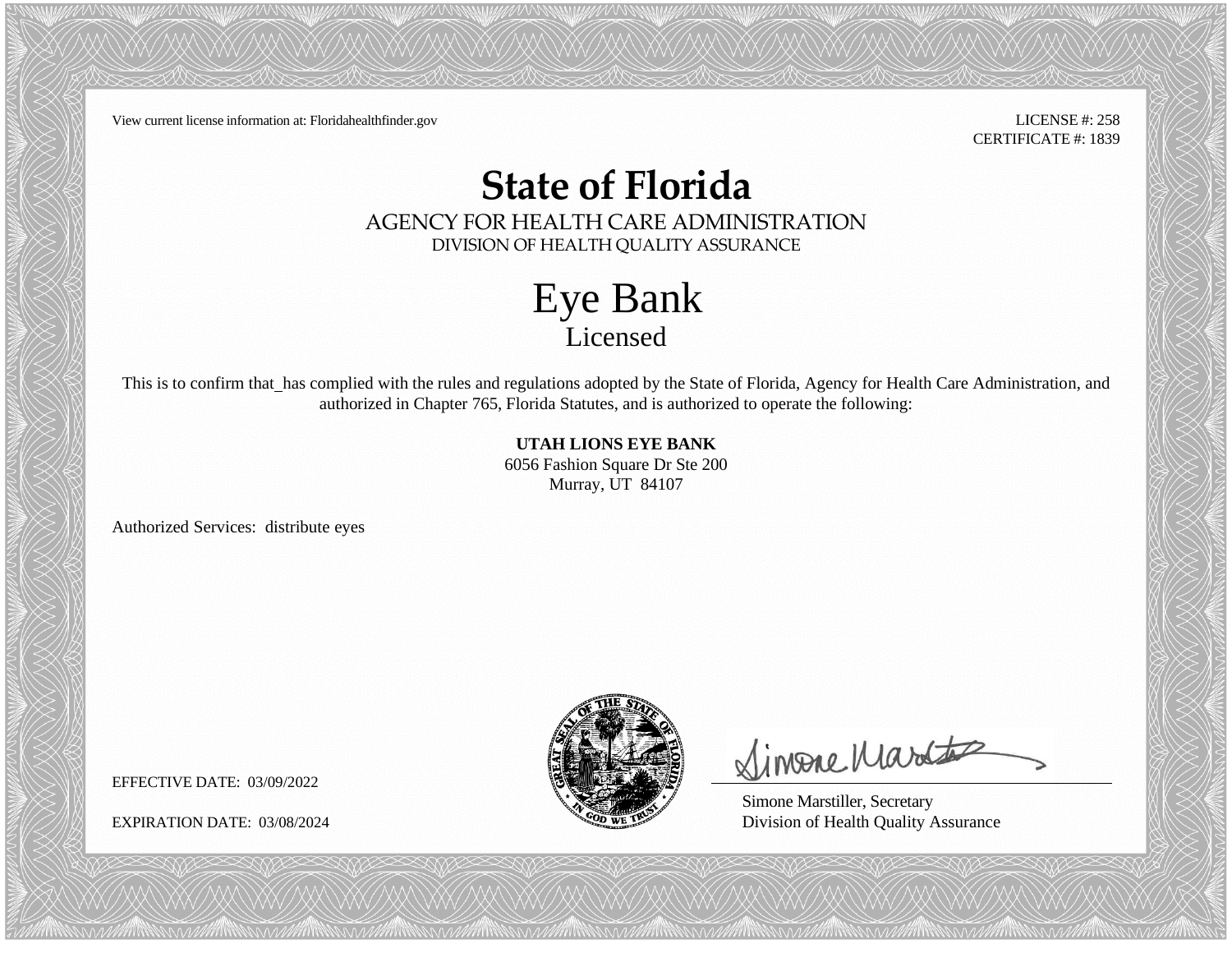View current license information at: Floridahealthfinder.gov LICENSE #: 258

CERTIFICATE #: 1839

## **State of Florida**

AGENCY FOR HEALTH CARE ADMINISTRATION DIVISION OF HEALTH QUALITY ASSURANCE

> Eye Bank Licensed

This is to confirm that\_has complied with the rules and regulations adopted by the State of Florida, Agency for Health Care Administration, and authorized in Chapter 765, Florida Statutes, and is authorized to operate the following:

> **UTAH LIONS EYE BANK** 6056 Fashion Square Dr Ste 200 Murray, UT 84107

Authorized Services: distribute eyes



Simone Martes

Simone Marstiller, Secretary EXPIRATION DATE: 03/08/2024 Division of Health Quality Assurance

EFFECTIVE DATE: 03/09/2022